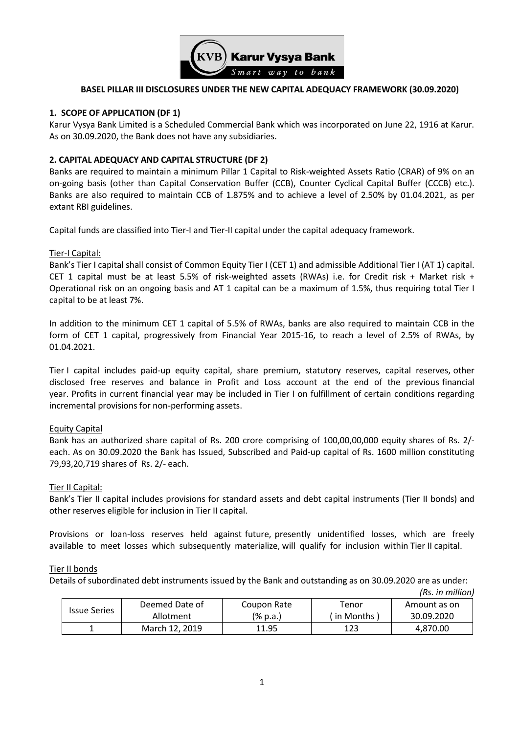

## **BASEL PILLAR III DISCLOSURES UNDER THE NEW CAPITAL ADEQUACY FRAMEWORK (30.09.2020)**

### **1. SCOPE OF APPLICATION (DF 1)**

Karur Vysya Bank Limited is a Scheduled Commercial Bank which was incorporated on June 22, 1916 at Karur. As on 30.09.2020, the Bank does not have any subsidiaries.

## **2. CAPITAL ADEQUACY AND CAPITAL STRUCTURE (DF 2)**

Banks are required to maintain a minimum Pillar 1 Capital to Risk-weighted Assets Ratio (CRAR) of 9% on an on-going basis (other than Capital Conservation Buffer (CCB), Counter Cyclical Capital Buffer (CCCB) etc.). Banks are also required to maintain CCB of 1.875% and to achieve a level of 2.50% by 01.04.2021, as per extant RBI guidelines.

Capital funds are classified into Tier-I and Tier-II capital under the capital adequacy framework.

#### Tier-I Capital:

Bank's Tier I capital shall consist of Common Equity Tier I (CET 1) and admissible Additional Tier I (AT 1) capital. CET 1 capital must be at least 5.5% of risk-weighted assets (RWAs) i.e. for Credit risk + Market risk + Operational risk on an ongoing basis and AT 1 capital can be a maximum of 1.5%, thus requiring total Tier I capital to be at least 7%.

In addition to the minimum CET 1 capital of 5.5% of RWAs, banks are also required to maintain CCB in the form of CET 1 capital, progressively from Financial Year 2015-16, to reach a level of 2.5% of RWAs, by 01.04.2021.

Tier I capital includes paid-up equity capital, share premium, statutory reserves, capital reserves, other disclosed free reserves and balance in Profit and Loss account at the end of the previous financial year. Profits in current financial year may be included in Tier I on fulfillment of certain conditions regarding incremental provisions for non-performing assets.

#### **Equity Capital**

Bank has an authorized share capital of Rs. 200 crore comprising of 100,00,00,000 equity shares of Rs. 2/ each. As on 30.09.2020 the Bank has Issued, Subscribed and Paid-up capital of Rs. 1600 million constituting 79,93,20,719 shares of Rs. 2/- each.

#### Tier II Capital:

Bank's Tier II capital includes provisions for standard assets and debt capital instruments (Tier II bonds) and other reserves eligible for inclusion in Tier II capital.

Provisions or loan-loss reserves held against future, presently unidentified losses, which are freely available to meet losses which subsequently materialize, will qualify for inclusion within Tier II capital.

#### Tier II bonds

Details of subordinated debt instruments issued by the Bank and outstanding as on 30.09.2020 are as under:

|                     |                |             |              | (Rs. in million) |
|---------------------|----------------|-------------|--------------|------------------|
|                     | Deemed Date of | Coupon Rate | Tenor        | Amount as on     |
| <b>Issue Series</b> | Allotment      | (% p.a.)    | (in Months ) | 30.09.2020       |
|                     | March 12, 2019 | 11.95       | 123          | 4.870.00         |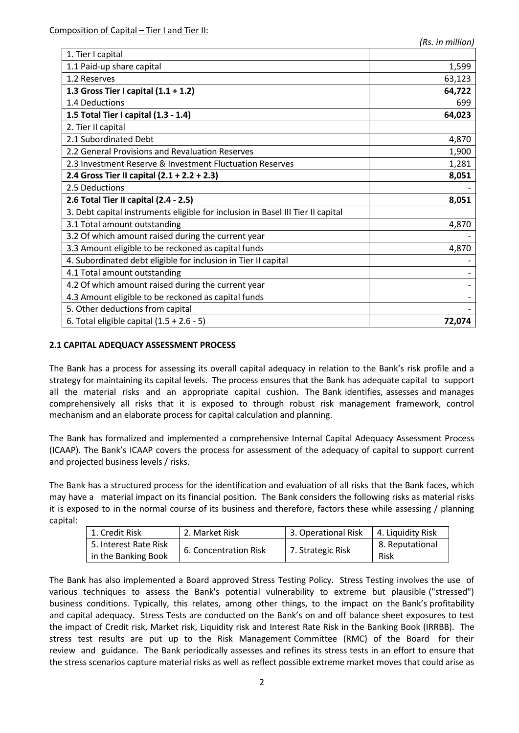| 1,599  |
|--------|
| 63,123 |
| 64,722 |
| 699    |
| 64,023 |
|        |
| 4,870  |
| 1,900  |
| 1,281  |
| 8,051  |
|        |
| 8,051  |
|        |
| 4,870  |
|        |
| 4,870  |
|        |
|        |
|        |
|        |
|        |
| 72,074 |
|        |

## **2.1 CAPITAL ADEQUACY ASSESSMENT PROCESS**

The Bank has a process for assessing its overall capital adequacy in relation to the Bank's risk profile and a strategy for maintaining its capital levels. The process ensures that the Bank has adequate capital to support all the material risks and an appropriate capital cushion. The Bank identifies, assesses and manages comprehensively all risks that it is exposed to through robust risk management framework, control mechanism and an elaborate process for capital calculation and planning.

The Bank has formalized and implemented a comprehensive Internal Capital Adequacy Assessment Process (ICAAP). The Bank's ICAAP covers the process for assessment of the adequacy of capital to support current and projected business levels / risks.

The Bank has a structured process for the identification and evaluation of all risks that the Bank faces, which may have a material impact on its financial position. The Bank considers the following risks as material risks it is exposed to in the normal course of its business and therefore, factors these while assessing / planning capital:

| 1. Credit Risk        | 2. Market Risk        | <sup>1</sup> 3. Operational Risk | 4. Liquidity Risk |
|-----------------------|-----------------------|----------------------------------|-------------------|
| 5. Interest Rate Risk | 6. Concentration Risk | 7. Strategic Risk                | 8. Reputational   |
| in the Banking Book   |                       |                                  | Risk              |

The Bank has also implemented a Board approved Stress Testing Policy. Stress Testing involves the use of various techniques to assess the Bank's potential vulnerability to extreme but plausible ("stressed") business conditions. Typically, this relates, among other things, to the impact on the Bank's profitability and capital adequacy. Stress Tests are conducted on the Bank's on and off balance sheet exposures to test the impact of Credit risk, Market risk, Liquidity risk and Interest Rate Risk in the Banking Book (IRRBB). The stress test results are put up to the Risk Management Committee (RMC) of the Board for their review and guidance. The Bank periodically assesses and refines its stress tests in an effort to ensure that the stress scenarios capture material risks as well as reflect possible extreme market moves that could arise as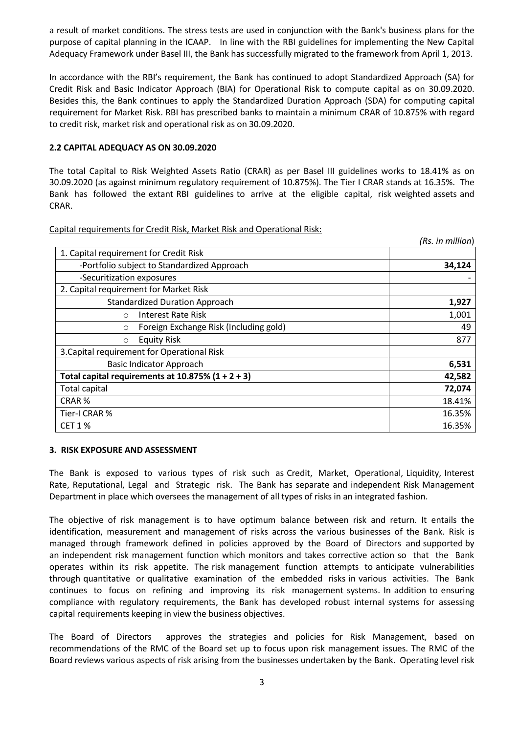a result of market conditions. The stress tests are used in conjunction with the Bank's business plans for the purpose of capital planning in the ICAAP. In line with the RBI guidelines for implementing the New Capital Adequacy Framework under Basel III, the Bank has successfully migrated to the framework from April 1, 2013.

In accordance with the RBI's requirement, the Bank has continued to adopt Standardized Approach (SA) for Credit Risk and Basic Indicator Approach (BIA) for Operational Risk to compute capital as on 30.09.2020. Besides this, the Bank continues to apply the Standardized Duration Approach (SDA) for computing capital requirement for Market Risk. RBI has prescribed banks to maintain a minimum CRAR of 10.875% with regard to credit risk, market risk and operational risk as on 30.09.2020.

## **2.2 CAPITAL ADEQUACY AS ON 30.09.2020**

The total Capital to Risk Weighted Assets Ratio (CRAR) as per Basel III guidelines works to 18.41% as on 30.09.2020 (as against minimum regulatory requirement of 10.875%). The Tier I CRAR stands at 16.35%. The Bank has followed the extant RBI guidelines to arrive at the eligible capital, risk weighted assets and CRAR.

Capital requirements for Credit Risk, Market Risk and Operational Risk:

|                                                      | (Rs. in million) |
|------------------------------------------------------|------------------|
| 1. Capital requirement for Credit Risk               |                  |
| -Portfolio subject to Standardized Approach          | 34,124           |
| -Securitization exposures                            |                  |
| 2. Capital requirement for Market Risk               |                  |
| <b>Standardized Duration Approach</b>                | 1,927            |
| Interest Rate Risk<br>$\circ$                        | 1,001            |
| Foreign Exchange Risk (Including gold)<br>$\circ$    | 49               |
| <b>Equity Risk</b><br>$\circ$                        | 877              |
| 3. Capital requirement for Operational Risk          |                  |
| <b>Basic Indicator Approach</b>                      | 6,531            |
| Total capital requirements at $10.875\%$ (1 + 2 + 3) | 42,582           |
| <b>Total capital</b>                                 | 72,074           |
| CRAR <sup>%</sup>                                    | 18.41%           |
| Tier-I CRAR %                                        | 16.35%           |
| <b>CET 1 %</b>                                       | 16.35%           |

#### **3. RISK EXPOSURE AND ASSESSMENT**

The Bank is exposed to various types of risk such as Credit, Market, Operational, Liquidity, Interest Rate, Reputational, Legal and Strategic risk. The Bank has separate and independent Risk Management Department in place which oversees the management of all types of risks in an integrated fashion.

The objective of risk management is to have optimum balance between risk and return. It entails the identification, measurement and management of risks across the various businesses of the Bank. Risk is managed through framework defined in policies approved by the Board of Directors and supported by an independent risk management function which monitors and takes corrective action so that the Bank operates within its risk appetite. The risk management function attempts to anticipate vulnerabilities through quantitative or qualitative examination of the embedded risks in various activities. The Bank continues to focus on refining and improving its risk management systems. In addition to ensuring compliance with regulatory requirements, the Bank has developed robust internal systems for assessing capital requirements keeping in view the business objectives.

The Board of Directors approves the strategies and policies for Risk Management, based on recommendations of the RMC of the Board set up to focus upon risk management issues. The RMC of the Board reviews various aspects of risk arising from the businesses undertaken by the Bank. Operating level risk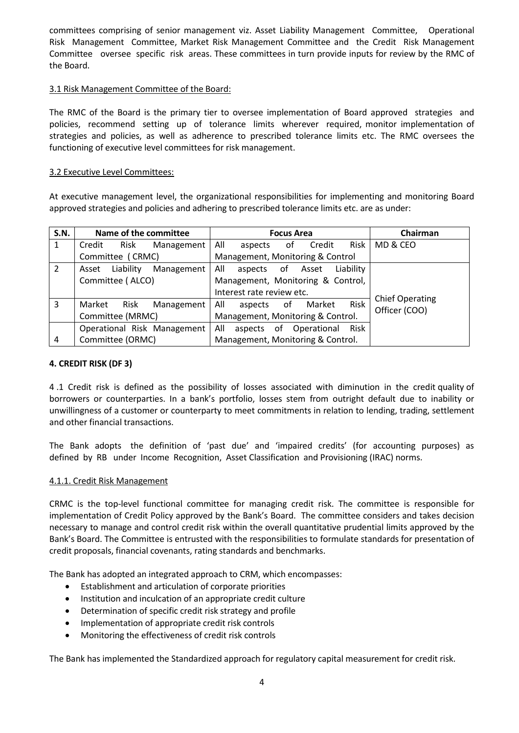committees comprising of senior management viz. Asset Liability Management Committee, Operational Risk Management Committee, Market Risk Management Committee and the Credit Risk Management Committee oversee specific risk areas. These committees in turn provide inputs for review by the RMC of the Board.

## 3.1 Risk Management Committee of the Board:

The RMC of the Board is the primary tier to oversee implementation of Board approved strategies and policies, recommend setting up of tolerance limits wherever required, monitor implementation of strategies and policies, as well as adherence to prescribed tolerance limits etc. The RMC oversees the functioning of executive level committees for risk management.

#### 3.2 Executive Level Committees:

At executive management level, the organizational responsibilities for implementing and monitoring Board approved strategies and policies and adhering to prescribed tolerance limits etc. are as under:

| S.N. | Name of the committee            | <b>Focus Area</b>                           | Chairman               |
|------|----------------------------------|---------------------------------------------|------------------------|
| 1    | Risk<br>Credit<br>Management     | All<br>Risk<br>Credit<br>οf<br>aspects      | MD & CEO               |
|      | Committee (CRMC)                 | Management, Monitoring & Control            |                        |
| 2    | Liability<br>Management<br>Asset | All<br>Liability<br>Asset<br>of<br>aspects  |                        |
|      | Committee (ALCO)                 | Management, Monitoring & Control,           |                        |
|      |                                  | Interest rate review etc.                   | <b>Chief Operating</b> |
| 3    | Risk<br>Market<br>Management     | Risk<br>All<br>Market<br>0f<br>aspects      | Officer (COO)          |
|      | Committee (MRMC)                 | Management, Monitoring & Control.           |                        |
|      | Operational Risk Management      | All<br>Risk<br>of<br>Operational<br>aspects |                        |
| 4    | Committee (ORMC)                 | Management, Monitoring & Control.           |                        |

#### **4. CREDIT RISK (DF 3)**

4 .1 Credit risk is defined as the possibility of losses associated with diminution in the credit quality of borrowers or counterparties. In a bank's portfolio, losses stem from outright default due to inability or unwillingness of a customer or counterparty to meet commitments in relation to lending, trading, settlement and other financial transactions.

The Bank adopts the definition of 'past due' and 'impaired credits' (for accounting purposes) as defined by RB under Income Recognition, Asset Classification and Provisioning (IRAC) norms.

#### 4.1.1. Credit Risk Management

CRMC is the top-level functional committee for managing credit risk. The committee is responsible for implementation of Credit Policy approved by the Bank's Board. The committee considers and takes decision necessary to manage and control credit risk within the overall quantitative prudential limits approved by the Bank's Board. The Committee is entrusted with the responsibilities to formulate standards for presentation of credit proposals, financial covenants, rating standards and benchmarks.

The Bank has adopted an integrated approach to CRM, which encompasses:

- Establishment and articulation of corporate priorities
- Institution and inculcation of an appropriate credit culture
- Determination of specific credit risk strategy and profile
- Implementation of appropriate credit risk controls
- Monitoring the effectiveness of credit risk controls

The Bank has implemented the Standardized approach for regulatory capital measurement for credit risk.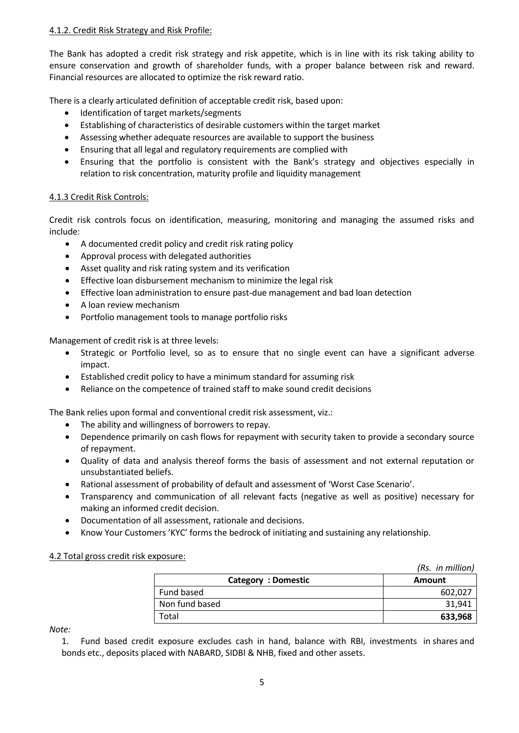## 4.1.2. Credit Risk Strategy and Risk Profile:

The Bank has adopted a credit risk strategy and risk appetite, which is in line with its risk taking ability to ensure conservation and growth of shareholder funds, with a proper balance between risk and reward. Financial resources are allocated to optimize the risk reward ratio.

There is a clearly articulated definition of acceptable credit risk, based upon:

- Identification of target markets/segments
- Establishing of characteristics of desirable customers within the target market
- Assessing whether adequate resources are available to support the business
- Ensuring that all legal and regulatory requirements are complied with
- Ensuring that the portfolio is consistent with the Bank's strategy and objectives especially in relation to risk concentration, maturity profile and liquidity management

## 4.1.3 Credit Risk Controls:

Credit risk controls focus on identification, measuring, monitoring and managing the assumed risks and include:

- A documented credit policy and credit risk rating policy
- Approval process with delegated authorities
- Asset quality and risk rating system and its verification
- **Effective loan disbursement mechanism to minimize the legal risk**
- Effective loan administration to ensure past-due management and bad loan detection
- A loan review mechanism
- Portfolio management tools to manage portfolio risks

Management of credit risk is at three levels:

- Strategic or Portfolio level, so as to ensure that no single event can have a significant adverse impact.
- Established credit policy to have a minimum standard for assuming risk
- Reliance on the competence of trained staff to make sound credit decisions

The Bank relies upon formal and conventional credit risk assessment, viz.:

- The ability and willingness of borrowers to repay.
- Dependence primarily on cash flows for repayment with security taken to provide a secondary source of repayment.
- Quality of data and analysis thereof forms the basis of assessment and not external reputation or unsubstantiated beliefs.
- Rational assessment of probability of default and assessment of 'Worst Case Scenario'.
- Transparency and communication of all relevant facts (negative as well as positive) necessary for making an informed credit decision.
- Documentation of all assessment, rationale and decisions.
- Know Your Customers 'KYC' forms the bedrock of initiating and sustaining any relationship.

## 4.2 Total gross credit risk exposure:

|                    | (Rs. in million) |
|--------------------|------------------|
| Category: Domestic | Amount           |
| Fund based         | 602,027          |
| Non fund based     | 31,941           |
| Total              | 633,968          |

*Note:*

1. Fund based credit exposure excludes cash in hand, balance with RBI, investments in shares and bonds etc., deposits placed with NABARD, SIDBI & NHB, fixed and other assets.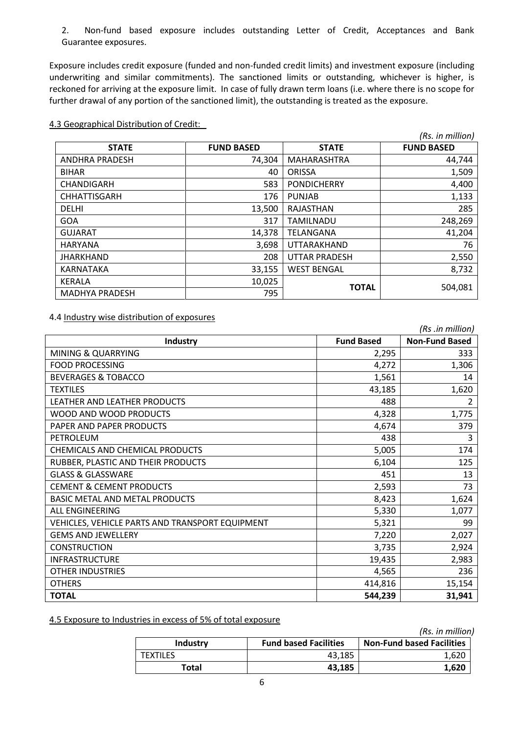2. Non-fund based exposure includes outstanding Letter of Credit, Acceptances and Bank Guarantee exposures.

Exposure includes credit exposure (funded and non-funded credit limits) and investment exposure (including underwriting and similar commitments). The sanctioned limits or outstanding, whichever is higher, is reckoned for arriving at the exposure limit. In case of fully drawn term loans (i.e. where there is no scope for further drawal of any portion of the sanctioned limit), the outstanding is treated as the exposure.

|                       |                   |                      | (Rs. in million)  |
|-----------------------|-------------------|----------------------|-------------------|
| <b>STATE</b>          | <b>FUND BASED</b> | <b>STATE</b>         | <b>FUND BASED</b> |
| ANDHRA PRADESH        | 74,304            | MAHARASHTRA          | 44,744            |
| <b>BIHAR</b>          | 40                | <b>ORISSA</b>        | 1,509             |
| CHANDIGARH            | 583               | <b>PONDICHERRY</b>   | 4,400             |
| <b>CHHATTISGARH</b>   | 176               | <b>PUNJAB</b>        | 1,133             |
| <b>DELHI</b>          | 13,500            | RAJASTHAN            | 285               |
| <b>GOA</b>            | 317               | <b>TAMILNADU</b>     | 248,269           |
| <b>GUJARAT</b>        | 14,378            | TELANGANA            | 41,204            |
| <b>HARYANA</b>        | 3,698             | UTTARAKHAND          | 76                |
| <b>JHARKHAND</b>      | 208               | <b>UTTAR PRADESH</b> | 2,550             |
| KARNATAKA             | 33,155            | <b>WEST BENGAL</b>   | 8,732             |
| KERALA                | 10,025            | <b>TOTAL</b>         |                   |
| <b>MADHYA PRADESH</b> | 795               |                      | 504,081           |

4.3 Geographical Distribution of Credit:

4.4 Industry wise distribution of exposures

|                                                 |                   | (Rs .in million)      |
|-------------------------------------------------|-------------------|-----------------------|
| <b>Industry</b>                                 | <b>Fund Based</b> | <b>Non-Fund Based</b> |
| MINING & QUARRYING                              | 2,295             | 333                   |
| <b>FOOD PROCESSING</b>                          | 4,272             | 1,306                 |
| <b>BEVERAGES &amp; TOBACCO</b>                  | 1,561             | 14                    |
| <b>TEXTILES</b>                                 | 43,185            | 1,620                 |
| LEATHER AND LEATHER PRODUCTS                    | 488               | $\overline{2}$        |
| WOOD AND WOOD PRODUCTS                          | 4,328             | 1,775                 |
| PAPER AND PAPER PRODUCTS                        | 4,674             | 379                   |
| PETROLEUM                                       | 438               | 3                     |
| CHEMICALS AND CHEMICAL PRODUCTS                 | 5,005             | 174                   |
| RUBBER, PLASTIC AND THEIR PRODUCTS              | 6,104             | 125                   |
| <b>GLASS &amp; GLASSWARE</b>                    | 451               | 13                    |
| <b>CEMENT &amp; CEMENT PRODUCTS</b>             | 2,593             | 73                    |
| <b>BASIC METAL AND METAL PRODUCTS</b>           | 8,423             | 1,624                 |
| <b>ALL ENGINEERING</b>                          | 5,330             | 1,077                 |
| VEHICLES, VEHICLE PARTS AND TRANSPORT EQUIPMENT | 5,321             | 99                    |
| <b>GEMS AND JEWELLERY</b>                       | 7,220             | 2,027                 |
| <b>CONSTRUCTION</b>                             | 3,735             | 2,924                 |
| <b>INFRASTRUCTURE</b>                           | 19,435            | 2,983                 |
| <b>OTHER INDUSTRIES</b>                         | 4,565             | 236                   |
| <b>OTHERS</b>                                   | 414,816           | 15,154                |
| <b>TOTAL</b>                                    | 544,239           | 31,941                |

4.5 Exposure to Industries in excess of 5% of total exposure

|          |                              | (Rs. in million)                 |
|----------|------------------------------|----------------------------------|
| Industry | <b>Fund based Facilities</b> | <b>Non-Fund based Facilities</b> |
| TEXTILES | 43.185                       | 1.620                            |
| Total    | 43,185                       | 1.620                            |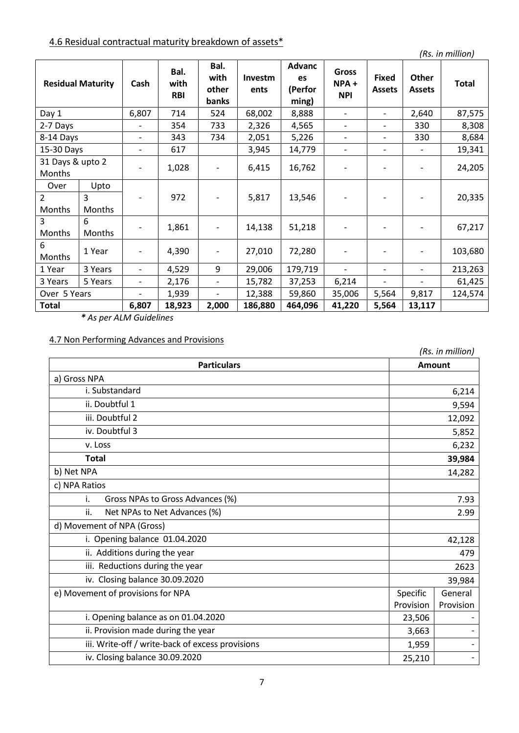# 4.6 Residual contractual maturity breakdown of assets\*

*(Rs. in million)*

| <b>Residual Maturity</b>   |             | Cash                     | Bal.<br>with<br><b>RBI</b> | Bal.<br>with<br>other<br>banks | Investm<br>ents | <b>Advanc</b><br>es<br>(Perfor<br>ming) | <b>Gross</b><br>NPA+<br><b>NPI</b> | <b>Fixed</b><br><b>Assets</b> | Other<br><b>Assets</b>   | <b>Total</b> |
|----------------------------|-------------|--------------------------|----------------------------|--------------------------------|-----------------|-----------------------------------------|------------------------------------|-------------------------------|--------------------------|--------------|
| Day 1                      |             | 6,807                    | 714                        | 524                            | 68,002          | 8,888                                   |                                    | $\overline{\phantom{0}}$      | 2,640                    | 87,575       |
| 2-7 Days                   |             |                          | 354                        | 733                            | 2,326           | 4,565                                   | $\overline{a}$                     | $\overline{\phantom{0}}$      | 330                      | 8,308        |
| 8-14 Days                  |             |                          | 343                        | 734                            | 2,051           | 5,226                                   | $\overline{\phantom{0}}$           | $\overline{a}$                | 330                      | 8,684        |
| 15-30 Days                 |             |                          | 617                        |                                | 3,945           | 14,779                                  | $\overline{\phantom{0}}$           | $\qquad \qquad -$             | $\overline{\phantom{a}}$ | 19,341       |
| 31 Days & upto 2<br>Months |             |                          | 1,028                      |                                | 6,415           | 16,762                                  |                                    |                               |                          | 24,205       |
| Over                       | Upto        |                          |                            |                                |                 |                                         |                                    |                               |                          |              |
| $\overline{2}$<br>Months   | 3<br>Months |                          | 972                        |                                | 5,817           | 13,546                                  |                                    |                               |                          | 20,335       |
| 3<br>Months                | 6<br>Months |                          | 1,861                      |                                | 14,138          | 51,218                                  |                                    |                               |                          | 67,217       |
| 6<br>Months                | 1 Year      |                          | 4,390                      |                                | 27,010          | 72,280                                  |                                    |                               |                          | 103,680      |
| 1 Year                     | 3 Years     | $\overline{\phantom{0}}$ | 4,529                      | 9                              | 29,006          | 179,719                                 | $\qquad \qquad -$                  | $\qquad \qquad -$             |                          | 213,263      |
| 3 Years                    | 5 Years     | $\overline{\phantom{0}}$ | 2,176                      | $\qquad \qquad -$              | 15,782          | 37,253                                  | 6,214                              | $\qquad \qquad -$             | $\overline{\phantom{a}}$ | 61,425       |
| Over 5 Years               |             |                          | 1,939                      | $\overline{\phantom{0}}$       | 12,388          | 59,860                                  | 35,006                             | 5,564                         | 9,817                    | 124,574      |
| <b>Total</b>               |             | 6,807                    | 18,923                     | 2,000                          | 186,880         | 464,096                                 | 41,220                             | 5,564                         | 13,117                   |              |

*\* As per ALM Guidelines*

## 4.7 Non Performing Advances and Provisions

| (Rs. in million)                                 |           |                          |  |
|--------------------------------------------------|-----------|--------------------------|--|
| <b>Particulars</b>                               |           | Amount                   |  |
| a) Gross NPA                                     |           |                          |  |
| i. Substandard                                   |           | 6,214                    |  |
| ii. Doubtful 1                                   |           | 9,594                    |  |
| iii. Doubtful 2                                  |           | 12,092                   |  |
| iv. Doubtful 3                                   |           | 5,852                    |  |
| v. Loss                                          |           | 6,232                    |  |
| <b>Total</b>                                     |           | 39,984                   |  |
| b) Net NPA                                       |           | 14,282                   |  |
| c) NPA Ratios                                    |           |                          |  |
| i.<br>Gross NPAs to Gross Advances (%)           |           | 7.93                     |  |
| ii.<br>Net NPAs to Net Advances (%)<br>2.99      |           |                          |  |
| d) Movement of NPA (Gross)                       |           |                          |  |
| i. Opening balance 01.04.2020                    |           | 42,128                   |  |
| ii. Additions during the year                    |           | 479                      |  |
| iii. Reductions during the year                  |           | 2623                     |  |
| iv. Closing balance 30.09.2020                   |           | 39,984                   |  |
| e) Movement of provisions for NPA                | Specific  | General                  |  |
|                                                  | Provision | Provision                |  |
| i. Opening balance as on 01.04.2020              | 23,506    |                          |  |
| ii. Provision made during the year               | 3,663     |                          |  |
| iii. Write-off / write-back of excess provisions | 1,959     | $\overline{\phantom{a}}$ |  |
| iv. Closing balance 30.09.2020                   | 25,210    |                          |  |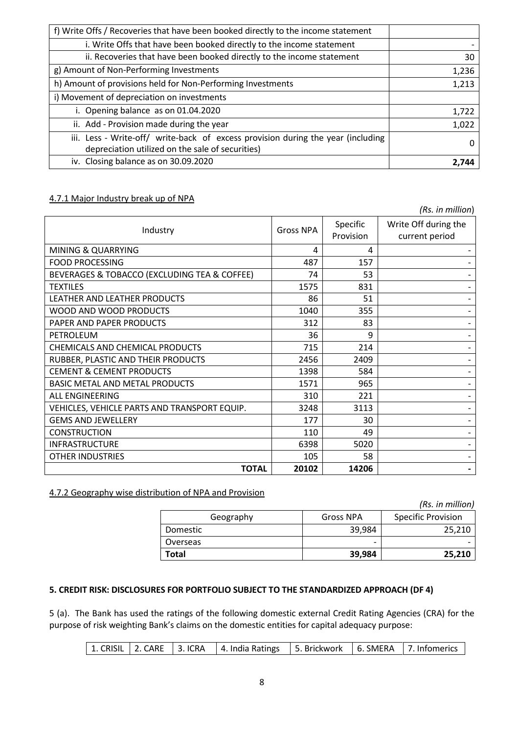| f) Write Offs / Recoveries that have been booked directly to the income statement                                                    |       |
|--------------------------------------------------------------------------------------------------------------------------------------|-------|
| i. Write Offs that have been booked directly to the income statement                                                                 |       |
| ii. Recoveries that have been booked directly to the income statement                                                                | 30    |
| g) Amount of Non-Performing Investments                                                                                              | 1,236 |
| h) Amount of provisions held for Non-Performing Investments                                                                          | 1,213 |
| i) Movement of depreciation on investments                                                                                           |       |
| i. Opening balance as on 01.04.2020                                                                                                  | 1,722 |
| ii. Add - Provision made during the year                                                                                             | 1,022 |
| iii. Less - Write-off/ write-back of excess provision during the year (including<br>depreciation utilized on the sale of securities) |       |
| iv. Closing balance as on 30.09.2020                                                                                                 |       |

## 4.7.1 Major Industry break up of NPA

*(Rs. in million*) Industry Gross NPA Specific Provision Write Off during the current period MINING & QUARRYING  $\begin{array}{|c|c|c|c|c|c|c|c|c|} \hline \text{MINING & QUARRYING} & & & & & \\\hline \end{array}$ FOOD PROCESSING FOOD PROCESSING FOOD PROCESSING FOOD PROCESSING BEVERAGES & TOBACCO (EXCLUDING TEA & COFFEE)  $\vert$  74  $\vert$  53  $\vert$ TEXTILES 1575 831 - LEATHER AND LEATHER PRODUCTS 86 51 - WOOD AND WOOD PRODUCTS AND SUMPLIFY TO A LOAD SERVICE SERVICE OF A LOAD SERVICE SERVICE SERVICE SERVICE SERVICE PAPER AND PAPER PRODUCTS THE SET OF SAME RESERVED AS A RESERVED ON A SET OF SET OF SAME RESERVED ASSETS A SET O PETROLEUM 36 9 - CHEMICALS AND CHEMICAL PRODUCTS 715 214 - RUBBER, PLASTIC AND THEIR PRODUCTS  $\vert$  2456 2409 | 2409 | CEMENT & CEMENT PRODUCTS 1398 584 - BASIC METAL AND METAL PRODUCTS 1571 965 - ALL ENGINEERING FOR THE STATE RESERVED AS A STATE OF STATE AND HOT AND A LATER STATE OF STATE AND A LATER STATE OF STATE AND A LATER STATE OF STATE OF STATE AND A LATER STATE OF STATE OF STATE OF STATE OF STATE OF STATE OF VEHICLES, VEHICLE PARTS AND TRANSPORT EQUIP. 3248 3113 - GEMS AND JEWELLERY 177 30 - CONSTRUCTION FOR THE RESERVE THAT IS A REPORT OF THE RESERVE THAT AND LOCAL THE RESERVE THAT A LOCAL THE RESERVE THAT A LOCAL THE RESERVE THAT A LOCAL THE RESERVE THAT A LOCAL THE RESERVE THAT A LOCAL THE RESERVE THAT A LO INFRASTRUCTURE 6398 5020 - OTHER INDUSTRIES FOR A SERVICE SERVICE SERVICE SERVICE SERVICE SERVICE SERVICE SERVICE SERVICE SERVICE SERVICE **TOTAL 20102 14206 -**

## 4.7.2 Geography wise distribution of NPA and Provision

|              |                          | (Rs. in million)          |
|--------------|--------------------------|---------------------------|
| Geography    | <b>Gross NPA</b>         | <b>Specific Provision</b> |
| Domestic     | 39.984                   | 25,210                    |
| Overseas     | $\overline{\phantom{0}}$ |                           |
| <b>Total</b> | 39,984                   | 25,210                    |

## **5. CREDIT RISK: DISCLOSURES FOR PORTFOLIO SUBJECT TO THE STANDARDIZED APPROACH (DF 4)**

5 (a). The Bank has used the ratings of the following domestic external Credit Rating Agencies (CRA) for the purpose of risk weighting Bank's claims on the domestic entities for capital adequacy purpose:

|  |  | 1. CRISIL   2. CARE   3. ICRA   4. India Ratings   5. Brickwork   6. SMERA   7. Infomerics |  |  |  |
|--|--|--------------------------------------------------------------------------------------------|--|--|--|
|--|--|--------------------------------------------------------------------------------------------|--|--|--|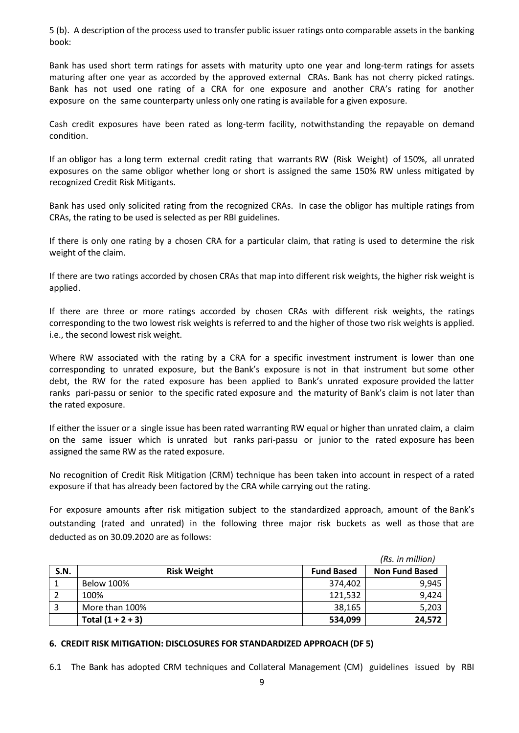5 (b). A description of the process used to transfer public issuer ratings onto comparable assets in the banking book:

Bank has used short term ratings for assets with maturity upto one year and long-term ratings for assets maturing after one year as accorded by the approved external CRAs. Bank has not cherry picked ratings. Bank has not used one rating of a CRA for one exposure and another CRA's rating for another exposure on the same counterparty unless only one rating is available for a given exposure.

Cash credit exposures have been rated as long-term facility, notwithstanding the repayable on demand condition.

If an obligor has a long term external credit rating that warrants RW (Risk Weight) of 150%, all unrated exposures on the same obligor whether long or short is assigned the same 150% RW unless mitigated by recognized Credit Risk Mitigants.

Bank has used only solicited rating from the recognized CRAs. In case the obligor has multiple ratings from CRAs, the rating to be used is selected as per RBI guidelines.

If there is only one rating by a chosen CRA for a particular claim, that rating is used to determine the risk weight of the claim.

If there are two ratings accorded by chosen CRAs that map into different risk weights, the higher risk weight is applied.

If there are three or more ratings accorded by chosen CRAs with different risk weights, the ratings corresponding to the two lowest risk weights is referred to and the higher of those two risk weights is applied. i.e., the second lowest risk weight.

Where RW associated with the rating by a CRA for a specific investment instrument is lower than one corresponding to unrated exposure, but the Bank's exposure is not in that instrument but some other debt, the RW for the rated exposure has been applied to Bank's unrated exposure provided the latter ranks pari-passu or senior to the specific rated exposure and the maturity of Bank's claim is not later than the rated exposure.

If either the issuer or a single issue has been rated warranting RW equal or higher than unrated claim, a claim on the same issuer which is unrated but ranks pari-passu or junior to the rated exposure has been assigned the same RW as the rated exposure.

No recognition of Credit Risk Mitigation (CRM) technique has been taken into account in respect of a rated exposure if that has already been factored by the CRA while carrying out the rating.

For exposure amounts after risk mitigation subject to the standardized approach, amount of the Bank's outstanding (rated and unrated) in the following three major risk buckets as well as those that are deducted as on 30.09.2020 are as follows:

|      |                     |                   | (Rs. in million)      |
|------|---------------------|-------------------|-----------------------|
| S.N. | <b>Risk Weight</b>  | <b>Fund Based</b> | <b>Non Fund Based</b> |
|      | <b>Below 100%</b>   | 374,402           | 9,945                 |
|      | 100%                | 121,532           | 9,424                 |
|      | More than 100%      | 38,165            | 5,203                 |
|      | Total $(1 + 2 + 3)$ | 534,099           | 24,572                |

#### **6. CREDIT RISK MITIGATION: DISCLOSURES FOR STANDARDIZED APPROACH (DF 5)**

6.1 The Bank has adopted CRM techniques and Collateral Management (CM) guidelines issued by RBI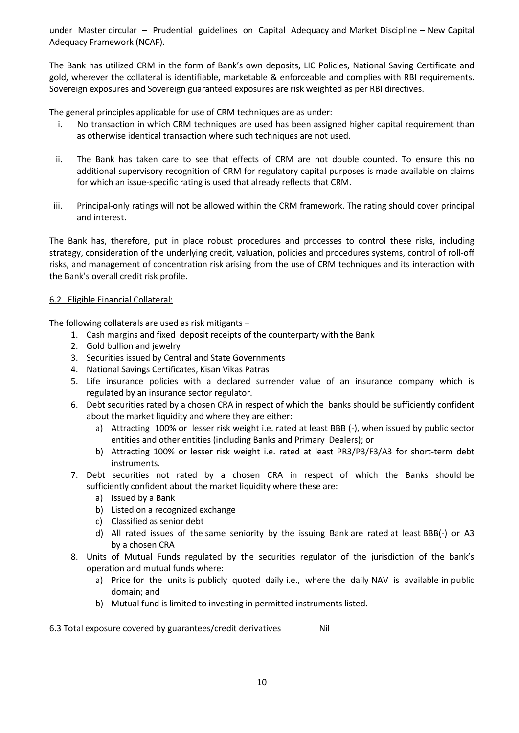under Master circular – Prudential guidelines on Capital Adequacy and Market Discipline – New Capital Adequacy Framework (NCAF).

The Bank has utilized CRM in the form of Bank's own deposits, LIC Policies, National Saving Certificate and gold, wherever the collateral is identifiable, marketable & enforceable and complies with RBI requirements. Sovereign exposures and Sovereign guaranteed exposures are risk weighted as per RBI directives.

The general principles applicable for use of CRM techniques are as under:

- i. No transaction in which CRM techniques are used has been assigned higher capital requirement than as otherwise identical transaction where such techniques are not used.
- ii. The Bank has taken care to see that effects of CRM are not double counted. To ensure this no additional supervisory recognition of CRM for regulatory capital purposes is made available on claims for which an issue-specific rating is used that already reflects that CRM.
- iii. Principal-only ratings will not be allowed within the CRM framework. The rating should cover principal and interest.

The Bank has, therefore, put in place robust procedures and processes to control these risks, including strategy, consideration of the underlying credit, valuation, policies and procedures systems, control of roll-off risks, and management of concentration risk arising from the use of CRM techniques and its interaction with the Bank's overall credit risk profile.

#### 6.2 Eligible Financial Collateral:

The following collaterals are used as risk mitigants –

- 1. Cash margins and fixed deposit receipts of the counterparty with the Bank
- 2. Gold bullion and jewelry
- 3. Securities issued by Central and State Governments
- 4. National Savings Certificates, Kisan Vikas Patras
- 5. Life insurance policies with a declared surrender value of an insurance company which is regulated by an insurance sector regulator.
- 6. Debt securities rated by a chosen CRA in respect of which the banks should be sufficiently confident about the market liquidity and where they are either:
	- a) Attracting 100% or lesser risk weight i.e. rated at least BBB (-), when issued by public sector entities and other entities (including Banks and Primary Dealers); or
	- b) Attracting 100% or lesser risk weight i.e. rated at least PR3/P3/F3/A3 for short-term debt instruments.
- 7. Debt securities not rated by a chosen CRA in respect of which the Banks should be sufficiently confident about the market liquidity where these are:
	- a) Issued by a Bank
	- b) Listed on a recognized exchange
	- c) Classified as senior debt
	- d) All rated issues of the same seniority by the issuing Bank are rated at least BBB(-) or A3 by a chosen CRA
- 8. Units of Mutual Funds regulated by the securities regulator of the jurisdiction of the bank's operation and mutual funds where:
	- a) Price for the units is publicly quoted daily i.e., where the daily NAV is available in public domain; and
	- b) Mutual fund is limited to investing in permitted instruments listed.

6.3 Total exposure covered by guarantees/credit derivatives Nil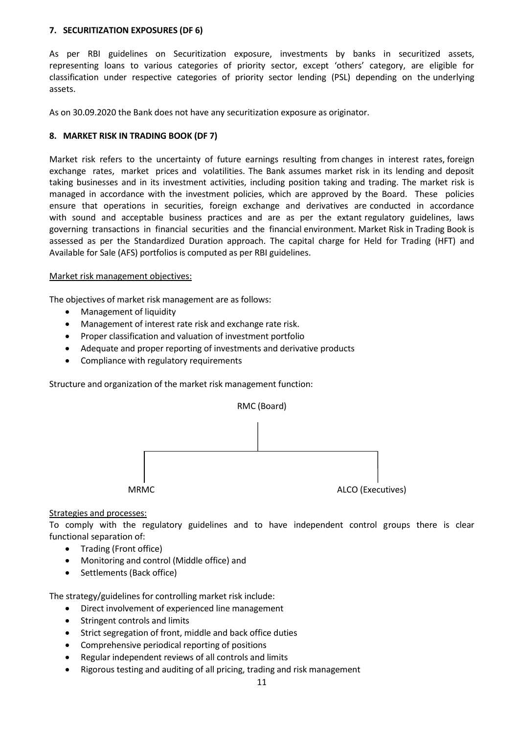#### **7. SECURITIZATION EXPOSURES (DF 6)**

As per RBI guidelines on Securitization exposure, investments by banks in securitized assets, representing loans to various categories of priority sector, except 'others' category, are eligible for classification under respective categories of priority sector lending (PSL) depending on the underlying assets.

As on 30.09.2020 the Bank does not have any securitization exposure as originator.

#### **8. MARKET RISK IN TRADING BOOK (DF 7)**

Market risk refers to the uncertainty of future earnings resulting from changes in interest rates, foreign exchange rates, market prices and volatilities. The Bank assumes market risk in its lending and deposit taking businesses and in its investment activities, including position taking and trading. The market risk is managed in accordance with the investment policies, which are approved by the Board. These policies ensure that operations in securities, foreign exchange and derivatives are conducted in accordance with sound and acceptable business practices and are as per the extant regulatory guidelines, laws governing transactions in financial securities and the financial environment. Market Risk in Trading Book is assessed as per the Standardized Duration approach. The capital charge for Held for Trading (HFT) and Available for Sale (AFS) portfolios is computed as per RBI guidelines.

#### Market risk management objectives:

The objectives of market risk management are as follows:

- Management of liquidity
- Management of interest rate risk and exchange rate risk.
- Proper classification and valuation of investment portfolio
- Adequate and proper reporting of investments and derivative products
- Compliance with regulatory requirements

Structure and organization of the market risk management function:



#### Strategies and processes:

To comply with the regulatory guidelines and to have independent control groups there is clear functional separation of:

- Trading (Front office)
- Monitoring and control (Middle office) and
- Settlements (Back office)

The strategy/guidelines for controlling market risk include:

- Direct involvement of experienced line management
- Stringent controls and limits
- Strict segregation of front, middle and back office duties
- Comprehensive periodical reporting of positions
- Regular independent reviews of all controls and limits
- Rigorous testing and auditing of all pricing, trading and risk management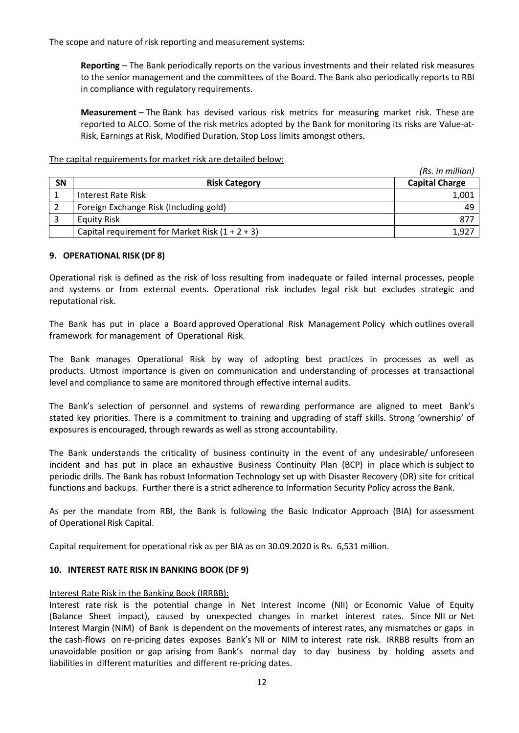The scope and nature of risk reporting and measurement systems:

**Reporting** – The Bank periodically reports on the various investments and their related risk measures to the senior management and the committees of the Board. The Bank also periodically reports to RBI in compliance with regulatory requirements.

**Measurement** – The Bank has devised various risk metrics for measuring market risk. These are reported to ALCO. Some of the risk metrics adopted by the Bank for monitoring its risks are Value-at-Risk, Earnings at Risk, Modified Duration, Stop Loss limits amongst others.

The capital requirements for market risk are detailed below:

|    |                                                   | (Rs. in million)      |
|----|---------------------------------------------------|-----------------------|
| SN | <b>Risk Category</b>                              | <b>Capital Charge</b> |
|    | Interest Rate Risk                                | 1,001                 |
|    | Foreign Exchange Risk (Including gold)            | 49                    |
|    | <b>Equity Risk</b>                                | 877                   |
|    | Capital requirement for Market Risk $(1 + 2 + 3)$ | 1,927                 |

## **9. OPERATIONAL RISK (DF 8)**

Operational risk is defined as the risk of loss resulting from inadequate or failed internal processes, people and systems or from external events. Operational risk includes legal risk but excludes strategic and reputational risk.

The Bank has put in place a Board approved Operational Risk Management Policy which outlines overall framework for management of Operational Risk.

The Bank manages Operational Risk by way of adopting best practices in processes as well as products. Utmost importance is given on communication and understanding of processes at transactional level and compliance to same are monitored through effective internal audits.

The Bank's selection of personnel and systems of rewarding performance are aligned to meet Bank's stated key priorities. There is a commitment to training and upgrading of staff skills. Strong 'ownership' of exposures is encouraged, through rewards as well as strong accountability.

The Bank understands the criticality of business continuity in the event of any undesirable/ unforeseen incident and has put in place an exhaustive Business Continuity Plan (BCP) in place which is subject to periodic drills. The Bank has robust Information Technology set up with Disaster Recovery (DR) site for critical functions and backups. Further there is a strict adherence to Information Security Policy across the Bank.

As per the mandate from RBI, the Bank is following the Basic Indicator Approach (BIA) for assessment of Operational Risk Capital.

Capital requirement for operational risk as per BIA as on 30.09.2020 is Rs. 6,531 million.

#### **10. INTEREST RATE RISK IN BANKING BOOK (DF 9)**

#### Interest Rate Risk in the Banking Book (IRRBB):

Interest rate risk is the potential change in Net Interest Income (NII) or Economic Value of Equity (Balance Sheet impact), caused by unexpected changes in market interest rates. Since NII or Net Interest Margin (NIM) of Bank is dependent on the movements of interest rates, any mismatches or gaps in the cash-flows on re-pricing dates exposes Bank's NII or NIM to interest rate risk. IRRBB results from an unavoidable position or gap arising from Bank's normal day to day business by holding assets and liabilities in different maturities and different re-pricing dates.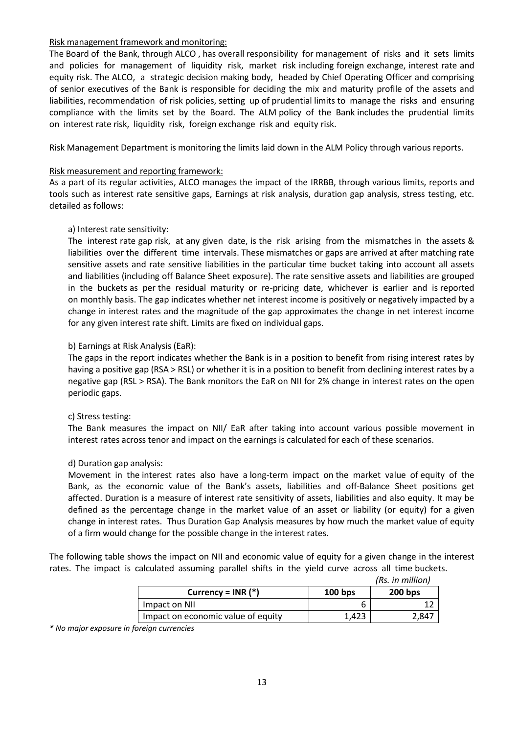### Risk management framework and monitoring:

The Board of the Bank, through ALCO , has overall responsibility for management of risks and it sets limits and policies for management of liquidity risk, market risk including foreign exchange, interest rate and equity risk. The ALCO, a strategic decision making body, headed by Chief Operating Officer and comprising of senior executives of the Bank is responsible for deciding the mix and maturity profile of the assets and liabilities, recommendation of risk policies, setting up of prudential limits to manage the risks and ensuring compliance with the limits set by the Board. The ALM policy of the Bank includes the prudential limits on interest rate risk, liquidity risk, foreign exchange risk and equity risk.

Risk Management Department is monitoring the limits laid down in the ALM Policy through various reports.

## Risk measurement and reporting framework:

As a part of its regular activities, ALCO manages the impact of the IRRBB, through various limits, reports and tools such as interest rate sensitive gaps, Earnings at risk analysis, duration gap analysis, stress testing, etc. detailed as follows:

## a) Interest rate sensitivity:

The interest rate gap risk, at any given date, is the risk arising from the mismatches in the assets & liabilities over the different time intervals. These mismatches or gaps are arrived at after matching rate sensitive assets and rate sensitive liabilities in the particular time bucket taking into account all assets and liabilities (including off Balance Sheet exposure). The rate sensitive assets and liabilities are grouped in the buckets as per the residual maturity or re-pricing date, whichever is earlier and is reported on monthly basis. The gap indicates whether net interest income is positively or negatively impacted by a change in interest rates and the magnitude of the gap approximates the change in net interest income for any given interest rate shift. Limits are fixed on individual gaps.

## b) Earnings at Risk Analysis (EaR):

The gaps in the report indicates whether the Bank is in a position to benefit from rising interest rates by having a positive gap (RSA > RSL) or whether it is in a position to benefit from declining interest rates by a negative gap (RSL > RSA). The Bank monitors the EaR on NII for 2% change in interest rates on the open periodic gaps.

#### c) Stress testing:

The Bank measures the impact on NII/ EaR after taking into account various possible movement in interest rates across tenor and impact on the earnings is calculated for each of these scenarios.

#### d) Duration gap analysis:

Movement in the interest rates also have a long-term impact on the market value of equity of the Bank, as the economic value of the Bank's assets, liabilities and off-Balance Sheet positions get affected. Duration is a measure of interest rate sensitivity of assets, liabilities and also equity. It may be defined as the percentage change in the market value of an asset or liability (or equity) for a given change in interest rates. Thus Duration Gap Analysis measures by how much the market value of equity of a firm would change for the possible change in the interest rates.

The following table shows the impact on NII and economic value of equity for a given change in the interest rates. The impact is calculated assuming parallel shifts in the yield curve across all time buckets.

|           | (Rs. in million) |
|-----------|------------------|
| $100$ bps | $200$ bps        |
| b         |                  |
| 1.423     | 2.847            |
|           |                  |

*\* No major exposure in foreign currencies*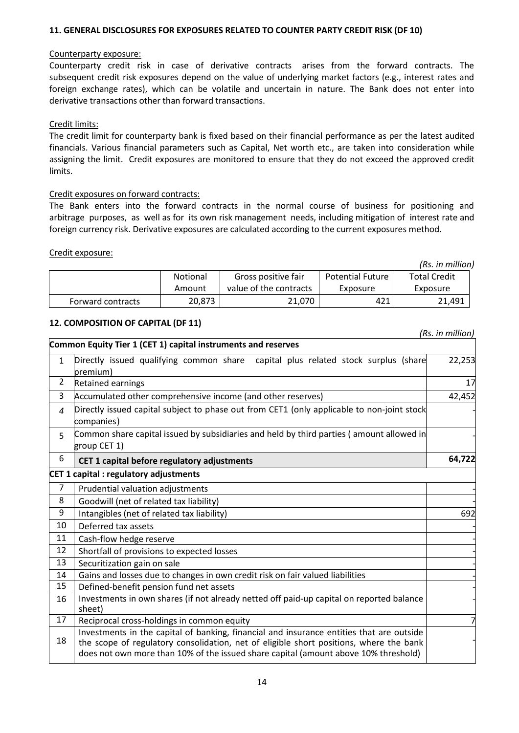#### **11. GENERAL DISCLOSURES FOR EXPOSURES RELATED TO COUNTER PARTY CREDIT RISK (DF 10)**

#### Counterparty exposure:

Counterparty credit risk in case of derivative contracts arises from the forward contracts. The subsequent credit risk exposures depend on the value of underlying market factors (e.g., interest rates and foreign exchange rates), which can be volatile and uncertain in nature. The Bank does not enter into derivative transactions other than forward transactions.

### Credit limits:

The credit limit for counterparty bank is fixed based on their financial performance as per the latest audited financials. Various financial parameters such as Capital, Net worth etc., are taken into consideration while assigning the limit. Credit exposures are monitored to ensure that they do not exceed the approved credit limits.

#### Credit exposures on forward contracts:

The Bank enters into the forward contracts in the normal course of business for positioning and arbitrage purposes, as well as for its own risk management needs, including mitigation of interest rate and foreign currency risk. Derivative exposures are calculated according to the current exposures method.

#### Credit exposure:

|                   |                 |                        |                         | (Rs. in million)    |
|-------------------|-----------------|------------------------|-------------------------|---------------------|
|                   | <b>Notional</b> | Gross positive fair    | <b>Potential Future</b> | <b>Total Credit</b> |
|                   | Amount          | value of the contracts | Exposure                | Exposure            |
| Forward contracts | 20,873          | 21.070                 | 421                     | 21,491              |

## **12. COMPOSITION OF CAPITAL (DF 11)**

 *(Rs. in million)* **Common Equity Tier 1 (CET 1) capital instruments and reserves** 1 Directly issued qualifying common share capital plus related stock surplus (share premium) 22,253 2 Retained earnings 17 3 Accumulated other comprehensive income (and other reserves) 42,452 *4* Directly issued capital subject to phase out from CET1 (only applicable to non-joint stock companies) - 5 Common share capital issued by subsidiaries and held by third parties ( amount allowed in group CET 1) **6 CET 1** capital before regulatory adjustments **64,722** - **CET 1 capital : regulatory adjustments**  $7$  | Prudential valuation adjustments 8  $\Box$  Goodwill (net of related tax liability) 9 Intangibles (net of related tax liability) 692 10 | Deferred tax assets 11  $\vert$  Cash-flow hedge reserve 12 Shortfall of provisions to expected losses 13 Securitization gain on sale 14 Gains and losses due to changes in own credit risk on fair valued liabilities 15 | Defined-benefit pension fund net assets 16 Investments in own shares (if not already netted off paid-up capital on reported balance sheet) - 17 Reciprocal cross-holdings in common equity 18 Investments in the capital of banking, financial and insurance entities that are outside the scope of regulatory consolidation, net of eligible short positions, where the bank does not own more than 10% of the issued share capital (amount above 10% threshold) -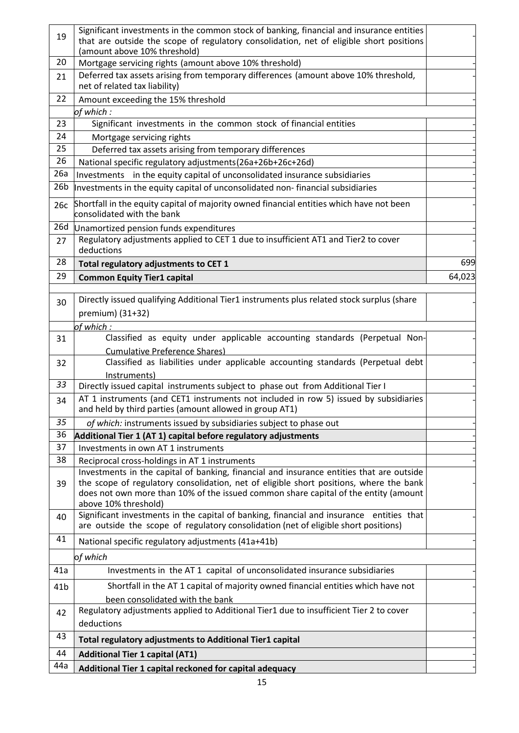| 44a             | Additional Tier 1 capital reckoned for capital adequacy                                                                                                                             |        |
|-----------------|-------------------------------------------------------------------------------------------------------------------------------------------------------------------------------------|--------|
| 44              | <b>Additional Tier 1 capital (AT1)</b>                                                                                                                                              |        |
| 43              | <b>Total regulatory adjustments to Additional Tier1 capital</b>                                                                                                                     |        |
| 42              | deductions                                                                                                                                                                          |        |
|                 | been consolidated with the bank<br>Regulatory adjustments applied to Additional Tier1 due to insufficient Tier 2 to cover                                                           |        |
| 41 <sub>b</sub> | Shortfall in the AT 1 capital of majority owned financial entities which have not                                                                                                   |        |
| 41a             | Investments in the AT 1 capital of unconsolidated insurance subsidiaries                                                                                                            |        |
|                 | of which                                                                                                                                                                            |        |
| 41              | National specific regulatory adjustments (41a+41b)                                                                                                                                  |        |
| 40              | Significant investments in the capital of banking, financial and insurance entities that<br>are outside the scope of regulatory consolidation (net of eligible short positions)     |        |
| 39              | does not own more than 10% of the issued common share capital of the entity (amount<br>above 10% threshold)                                                                         |        |
|                 | Investments in the capital of banking, financial and insurance entities that are outside<br>the scope of regulatory consolidation, net of eligible short positions, where the bank  |        |
| 38              | Reciprocal cross-holdings in AT 1 instruments                                                                                                                                       |        |
| 37              | Investments in own AT 1 instruments                                                                                                                                                 |        |
| 36              | Additional Tier 1 (AT 1) capital before regulatory adjustments                                                                                                                      |        |
| 35              | of which: instruments issued by subsidiaries subject to phase out                                                                                                                   |        |
|                 | and held by third parties (amount allowed in group AT1)                                                                                                                             |        |
| 34              | AT 1 instruments (and CET1 instruments not included in row 5) issued by subsidiaries                                                                                                |        |
| 33              | Instruments)<br>Directly issued capital instruments subject to phase out from Additional Tier I                                                                                     |        |
| 32              | Classified as liabilities under applicable accounting standards (Perpetual debt                                                                                                     |        |
| 31              | Classified as equity under applicable accounting standards (Perpetual Non-<br><b>Cumulative Preference Shares)</b>                                                                  |        |
|                 | of which :                                                                                                                                                                          |        |
|                 | premium) (31+32)                                                                                                                                                                    |        |
| 30              | Directly issued qualifying Additional Tier1 instruments plus related stock surplus (share                                                                                           |        |
| 29              | <b>Common Equity Tier1 capital</b>                                                                                                                                                  | 64,023 |
| 28              | Total regulatory adjustments to CET 1                                                                                                                                               | 699    |
| 27              | deductions                                                                                                                                                                          |        |
| 26d             | Unamortized pension funds expenditures<br>Regulatory adjustments applied to CET 1 due to insufficient AT1 and Tier2 to cover                                                        |        |
|                 | consolidated with the bank                                                                                                                                                          |        |
| 26c             | Shortfall in the equity capital of majority owned financial entities which have not been                                                                                            |        |
| 26 <sub>b</sub> | Investments in the equity capital of unconsolidated insurance subsidiaries<br>Investments in the equity capital of unconsolidated non-financial subsidiaries                        |        |
| 26<br>26a       | National specific regulatory adjustments(26a+26b+26c+26d)                                                                                                                           |        |
| 25              | Deferred tax assets arising from temporary differences                                                                                                                              |        |
| 24              | Mortgage servicing rights                                                                                                                                                           |        |
| 23              | Significant investments in the common stock of financial entities                                                                                                                   |        |
|                 | of which:                                                                                                                                                                           |        |
| 22              | Amount exceeding the 15% threshold                                                                                                                                                  |        |
| 21              | Deferred tax assets arising from temporary differences (amount above 10% threshold,<br>net of related tax liability)                                                                |        |
| 20              | Mortgage servicing rights (amount above 10% threshold)                                                                                                                              |        |
|                 | (amount above 10% threshold)                                                                                                                                                        |        |
| 19              | Significant investments in the common stock of banking, financial and insurance entities<br>that are outside the scope of regulatory consolidation, net of eligible short positions |        |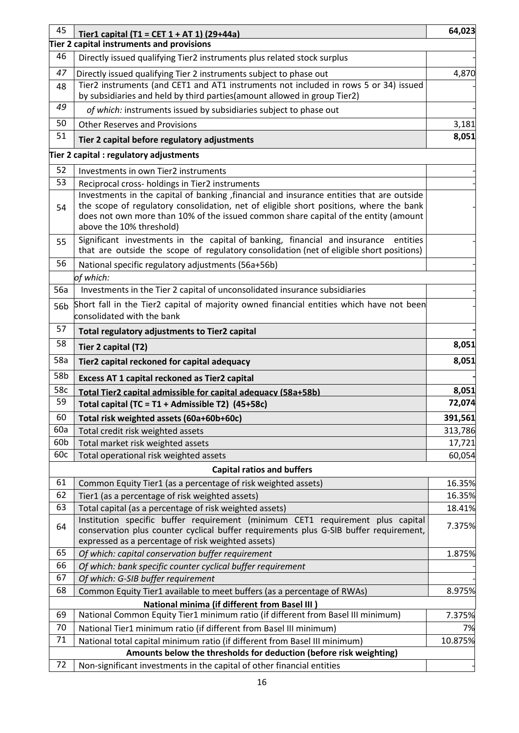| 45  | Tier1 capital (T1 = CET $1 + AT 1$ ) (29+44a)                                                                                                                                                                                                                                                          | 64,023  |
|-----|--------------------------------------------------------------------------------------------------------------------------------------------------------------------------------------------------------------------------------------------------------------------------------------------------------|---------|
|     | Tier 2 capital instruments and provisions                                                                                                                                                                                                                                                              |         |
| 46  | Directly issued qualifying Tier2 instruments plus related stock surplus                                                                                                                                                                                                                                |         |
| 47  | Directly issued qualifying Tier 2 instruments subject to phase out                                                                                                                                                                                                                                     | 4,870   |
| 48  | Tier2 instruments (and CET1 and AT1 instruments not included in rows 5 or 34) issued<br>by subsidiaries and held by third parties (amount allowed in group Tier2)                                                                                                                                      |         |
| 49  | of which: instruments issued by subsidiaries subject to phase out                                                                                                                                                                                                                                      |         |
| 50  | <b>Other Reserves and Provisions</b>                                                                                                                                                                                                                                                                   | 3,181   |
| 51  | Tier 2 capital before regulatory adjustments                                                                                                                                                                                                                                                           | 8,051   |
|     | Tier 2 capital : regulatory adjustments                                                                                                                                                                                                                                                                |         |
| 52  | Investments in own Tier2 instruments                                                                                                                                                                                                                                                                   |         |
| 53  | Reciprocal cross- holdings in Tier2 instruments                                                                                                                                                                                                                                                        |         |
| 54  | Investments in the capital of banking , financial and insurance entities that are outside<br>the scope of regulatory consolidation, net of eligible short positions, where the bank<br>does not own more than 10% of the issued common share capital of the entity (amount<br>above the 10% threshold) |         |
| 55  | Significant investments in the capital of banking, financial and insurance<br>entities<br>that are outside the scope of regulatory consolidation (net of eligible short positions)                                                                                                                     |         |
| 56  | National specific regulatory adjustments (56a+56b)                                                                                                                                                                                                                                                     |         |
|     | of which:                                                                                                                                                                                                                                                                                              |         |
| 56a | Investments in the Tier 2 capital of unconsolidated insurance subsidiaries                                                                                                                                                                                                                             |         |
| 56b | Short fall in the Tier2 capital of majority owned financial entities which have not been                                                                                                                                                                                                               |         |
|     | consolidated with the bank                                                                                                                                                                                                                                                                             |         |
| 57  | Total regulatory adjustments to Tier2 capital                                                                                                                                                                                                                                                          |         |
| 58  | Tier 2 capital (T2)                                                                                                                                                                                                                                                                                    | 8,051   |
| 58a | Tier2 capital reckoned for capital adequacy                                                                                                                                                                                                                                                            | 8,051   |
| 58b | Excess AT 1 capital reckoned as Tier2 capital                                                                                                                                                                                                                                                          |         |
| 58c | Total Tier2 capital admissible for capital adequacy (58a+58b)                                                                                                                                                                                                                                          | 8,051   |
| 59  | Total capital (TC = T1 + Admissible T2) (45+58c)                                                                                                                                                                                                                                                       | 72,074  |
| 60  | Total risk weighted assets (60a+60b+60c)                                                                                                                                                                                                                                                               | 391,561 |
| 60a | Total credit risk weighted assets                                                                                                                                                                                                                                                                      | 313,786 |
| 60b | Total market risk weighted assets                                                                                                                                                                                                                                                                      | 17,721  |
| 60c | Total operational risk weighted assets                                                                                                                                                                                                                                                                 | 60,054  |
|     | <b>Capital ratios and buffers</b>                                                                                                                                                                                                                                                                      |         |
| 61  | Common Equity Tier1 (as a percentage of risk weighted assets)                                                                                                                                                                                                                                          | 16.35%  |
| 62  | Tier1 (as a percentage of risk weighted assets)                                                                                                                                                                                                                                                        | 16.35%  |
| 63  | Total capital (as a percentage of risk weighted assets)                                                                                                                                                                                                                                                | 18.41%  |
| 64  | Institution specific buffer requirement (minimum CET1 requirement plus capital<br>conservation plus counter cyclical buffer requirements plus G-SIB buffer requirement,<br>expressed as a percentage of risk weighted assets)                                                                          | 7.375%  |
| 65  | Of which: capital conservation buffer requirement                                                                                                                                                                                                                                                      | 1.875%  |
| 66  | Of which: bank specific counter cyclical buffer requirement                                                                                                                                                                                                                                            |         |
| 67  | Of which: G-SIB buffer requirement                                                                                                                                                                                                                                                                     |         |
| 68  | Common Equity Tier1 available to meet buffers (as a percentage of RWAs)                                                                                                                                                                                                                                | 8.975%  |
|     | <b>National minima (if different from Basel III)</b>                                                                                                                                                                                                                                                   |         |
| 69  | National Common Equity Tier1 minimum ratio (if different from Basel III minimum)                                                                                                                                                                                                                       | 7.375%  |
| 70  | National Tier1 minimum ratio (if different from Basel III minimum)                                                                                                                                                                                                                                     | 7%      |
| 71  | National total capital minimum ratio (if different from Basel III minimum)                                                                                                                                                                                                                             | 10.875% |
| 72  | Amounts below the thresholds for deduction (before risk weighting)<br>Non-significant investments in the capital of other financial entities                                                                                                                                                           |         |
|     |                                                                                                                                                                                                                                                                                                        |         |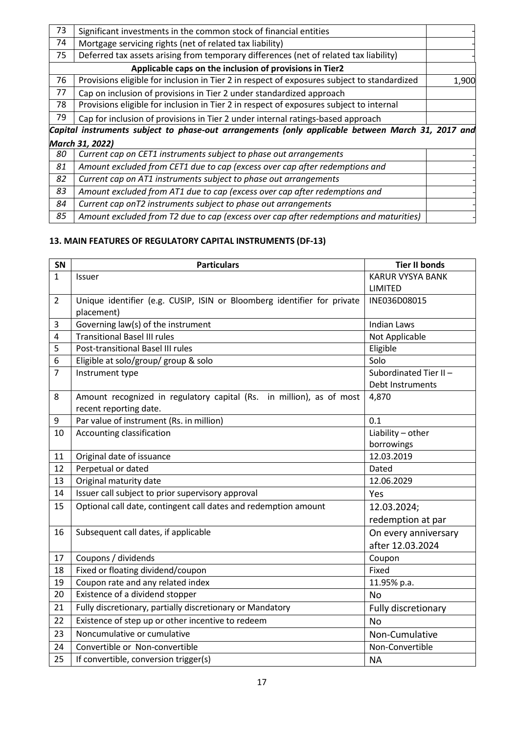| 73 | Significant investments in the common stock of financial entities                                 |       |
|----|---------------------------------------------------------------------------------------------------|-------|
| 74 | Mortgage servicing rights (net of related tax liability)                                          |       |
| 75 | Deferred tax assets arising from temporary differences (net of related tax liability)             |       |
|    | Applicable caps on the inclusion of provisions in Tier2                                           |       |
| 76 | Provisions eligible for inclusion in Tier 2 in respect of exposures subject to standardized       | 1,900 |
| 77 | Cap on inclusion of provisions in Tier 2 under standardized approach                              |       |
| 78 | Provisions eligible for inclusion in Tier 2 in respect of exposures subject to internal           |       |
| 79 | Cap for inclusion of provisions in Tier 2 under internal ratings-based approach                   |       |
|    | Capital instruments subject to phase-out arrangements (only applicable between March 31, 2017 and |       |
|    | March 31, 2022)                                                                                   |       |
| 80 | Current cap on CET1 instruments subject to phase out arrangements                                 |       |
| 81 | Amount excluded from CET1 due to cap (excess over cap after redemptions and                       |       |
| 82 | Current cap on AT1 instruments subject to phase out arrangements                                  |       |
| 83 | Amount excluded from AT1 due to cap (excess over cap after redemptions and                        |       |
| 84 | Current cap on T2 instruments subject to phase out arrangements                                   |       |
| 85 | Amount excluded from T2 due to cap (excess over cap after redemptions and maturities)             |       |

# **13. MAIN FEATURES OF REGULATORY CAPITAL INSTRUMENTS (DF-13)**

| SN             | <b>Particulars</b>                                                                             | <b>Tier II bonds</b>    |
|----------------|------------------------------------------------------------------------------------------------|-------------------------|
| $\mathbf{1}$   | <b>Issuer</b>                                                                                  | <b>KARUR VYSYA BANK</b> |
|                |                                                                                                | LIMITED                 |
| $\overline{2}$ | Unique identifier (e.g. CUSIP, ISIN or Bloomberg identifier for private                        | INE036D08015            |
|                | placement)                                                                                     |                         |
| 3              | Governing law(s) of the instrument                                                             | <b>Indian Laws</b>      |
| $\overline{4}$ | <b>Transitional Basel III rules</b>                                                            | Not Applicable          |
| 5              | Post-transitional Basel III rules                                                              | Eligible                |
| 6              | Eligible at solo/group/ group & solo                                                           | Solo                    |
| $\overline{7}$ | Instrument type                                                                                | Subordinated Tier II-   |
|                |                                                                                                | Debt Instruments        |
| 8              | Amount recognized in regulatory capital (Rs. in million), as of most<br>recent reporting date. | 4,870                   |
| 9              | Par value of instrument (Rs. in million)                                                       | 0.1                     |
| 10             | Accounting classification                                                                      | Liability - other       |
|                |                                                                                                | borrowings              |
| 11             | Original date of issuance                                                                      | 12.03.2019              |
| 12             | Perpetual or dated                                                                             | Dated                   |
| 13             | Original maturity date                                                                         | 12.06.2029              |
| 14             | Issuer call subject to prior supervisory approval                                              | Yes                     |
| 15             | Optional call date, contingent call dates and redemption amount                                | 12.03.2024;             |
|                |                                                                                                | redemption at par       |
| 16             | Subsequent call dates, if applicable                                                           | On every anniversary    |
|                |                                                                                                | after 12.03.2024        |
| 17             | Coupons / dividends                                                                            | Coupon                  |
| 18             | Fixed or floating dividend/coupon                                                              | Fixed                   |
| 19             | Coupon rate and any related index                                                              | 11.95% p.a.             |
| 20             | Existence of a dividend stopper                                                                | <b>No</b>               |
| 21             | Fully discretionary, partially discretionary or Mandatory                                      | Fully discretionary     |
| 22             | Existence of step up or other incentive to redeem                                              | <b>No</b>               |
| 23             | Noncumulative or cumulative                                                                    | Non-Cumulative          |
| 24             | Convertible or Non-convertible                                                                 | Non-Convertible         |
| 25             | If convertible, conversion trigger(s)                                                          | <b>NA</b>               |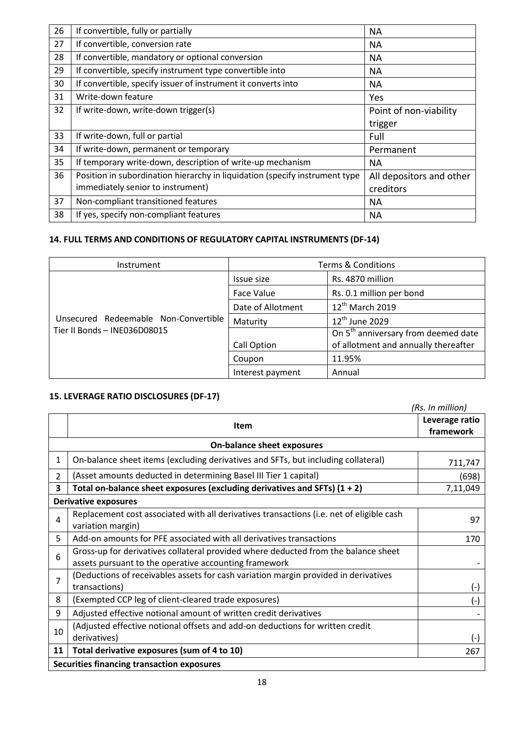| 26 | If convertible, fully or partially                                          | <b>NA</b>                |
|----|-----------------------------------------------------------------------------|--------------------------|
| 27 | If convertible, conversion rate                                             | <b>NA</b>                |
| 28 | If convertible, mandatory or optional conversion                            | <b>NA</b>                |
| 29 | If convertible, specify instrument type convertible into                    | NA.                      |
| 30 | If convertible, specify issuer of instrument it converts into               | <b>NA</b>                |
| 31 | Write-down feature                                                          | Yes                      |
| 32 | If write-down, write-down trigger(s)                                        | Point of non-viability   |
|    |                                                                             | trigger                  |
| 33 | If write-down, full or partial                                              | Full                     |
| 34 | If write-down, permanent or temporary                                       | Permanent                |
| 35 | If temporary write-down, description of write-up mechanism                  | NA.                      |
| 36 | Position in subordination hierarchy in liquidation (specify instrument type | All depositors and other |
|    | immediately senior to instrument)                                           | creditors                |
| 37 | Non-compliant transitioned features                                         | <b>NA</b>                |
| 38 | If yes, specify non-compliant features                                      | <b>NA</b>                |

## **14. FULL TERMS AND CONDITIONS OF REGULATORY CAPITAL INSTRUMENTS (DF-14)**

| Instrument                                                           | <b>Terms &amp; Conditions</b> |                                                 |
|----------------------------------------------------------------------|-------------------------------|-------------------------------------------------|
| Unsecured Redeemable Non-Convertible<br>Tier II Bonds - INE036D08015 | Issue size                    | Rs. 4870 million                                |
|                                                                      | Face Value                    | Rs. 0.1 million per bond                        |
|                                                                      | Date of Allotment             | 12 <sup>th</sup> March 2019                     |
|                                                                      | Maturity                      | 12 <sup>th</sup> June 2029                      |
|                                                                      |                               | On 5 <sup>th</sup> anniversary from deemed date |
|                                                                      | Call Option                   | of allotment and annually thereafter            |
|                                                                      | Coupon                        | 11.95%                                          |
|                                                                      | Interest payment              | Annual                                          |

# **15. LEVERAGE RATIO DISCLOSURES (DF-17)**

*(Rs. In million)*

|                                                   | <b>Item</b>                                                                                                                                 | Leverage ratio<br>framework |  |  |
|---------------------------------------------------|---------------------------------------------------------------------------------------------------------------------------------------------|-----------------------------|--|--|
| <b>On-balance sheet exposures</b>                 |                                                                                                                                             |                             |  |  |
| 1                                                 | On-balance sheet items (excluding derivatives and SFTs, but including collateral)                                                           | 711,747                     |  |  |
| $\overline{2}$                                    | (Asset amounts deducted in determining Basel III Tier 1 capital)                                                                            | (698)                       |  |  |
| 3                                                 | Total on-balance sheet exposures (excluding derivatives and SFTs) $(1 + 2)$                                                                 | 7,11,049                    |  |  |
| <b>Derivative exposures</b>                       |                                                                                                                                             |                             |  |  |
| 4                                                 | Replacement cost associated with all derivatives transactions (i.e. net of eligible cash<br>variation margin)                               | 97                          |  |  |
| 5                                                 | Add-on amounts for PFE associated with all derivatives transactions                                                                         | 170                         |  |  |
| 6                                                 | Gross-up for derivatives collateral provided where deducted from the balance sheet<br>assets pursuant to the operative accounting framework |                             |  |  |
| 7                                                 | (Deductions of receivables assets for cash variation margin provided in derivatives<br>transactions)                                        | $(-)$                       |  |  |
| 8                                                 | (Exempted CCP leg of client-cleared trade exposures)                                                                                        | $(-)$                       |  |  |
| 9                                                 | Adjusted effective notional amount of written credit derivatives                                                                            |                             |  |  |
| 10                                                | (Adjusted effective notional offsets and add-on deductions for written credit<br>derivatives)                                               | $(-)$                       |  |  |
| 11                                                | Total derivative exposures (sum of 4 to 10)                                                                                                 | 267                         |  |  |
| <b>Securities financing transaction exposures</b> |                                                                                                                                             |                             |  |  |